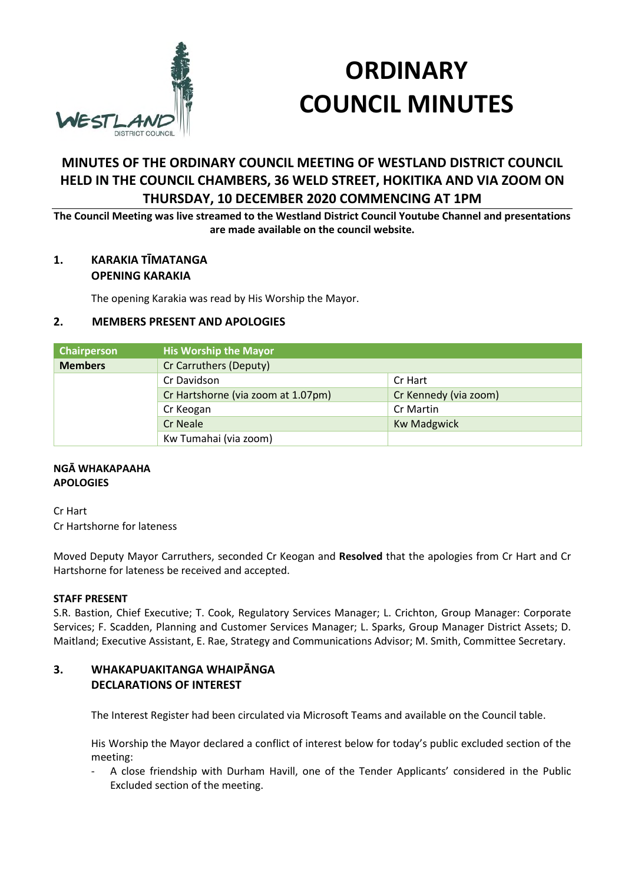

# **ORDINARY COUNCIL MINUTES**

# **MINUTES OF THE ORDINARY COUNCIL MEETING OF WESTLAND DISTRICT COUNCIL HELD IN THE COUNCIL CHAMBERS, 36 WELD STREET, HOKITIKA AND VIA ZOOM ON THURSDAY, 10 DECEMBER 2020 COMMENCING AT 1PM**

**The Council Meeting was live streamed to the Westland District Council Youtube Channel and presentations are made available on the council website.** 

## **1. KARAKIA TĪMATANGA OPENING KARAKIA**

The opening Karakia was read by His Worship the Mayor.

## **2. MEMBERS PRESENT AND APOLOGIES**

| Chairperson    | <b>His Worship the Mayor</b>       |                       |  |
|----------------|------------------------------------|-----------------------|--|
| <b>Members</b> | Cr Carruthers (Deputy)             |                       |  |
|                | Cr Davidson                        | Cr Hart               |  |
|                | Cr Hartshorne (via zoom at 1.07pm) | Cr Kennedy (via zoom) |  |
|                | Cr Keogan                          | Cr Martin             |  |
|                | Cr Neale                           | <b>Kw Madgwick</b>    |  |
|                | Kw Tumahai (via zoom)              |                       |  |

## **NGĀ WHAKAPAAHA APOLOGIES**

Cr Hart Cr Hartshorne for lateness

Moved Deputy Mayor Carruthers, seconded Cr Keogan and **Resolved** that the apologies from Cr Hart and Cr Hartshorne for lateness be received and accepted.

## **STAFF PRESENT**

S.R. Bastion, Chief Executive; T. Cook, Regulatory Services Manager; L. Crichton, Group Manager: Corporate Services; F. Scadden, Planning and Customer Services Manager; L. Sparks, Group Manager District Assets; D. Maitland; Executive Assistant, E. Rae, Strategy and Communications Advisor; M. Smith, Committee Secretary.

## **3. WHAKAPUAKITANGA WHAIPĀNGA DECLARATIONS OF INTEREST**

The Interest Register had been circulated via Microsoft Teams and available on the Council table.

His Worship the Mayor declared a conflict of interest below for today's public excluded section of the meeting:

- A close friendship with Durham Havill, one of the Tender Applicants' considered in the Public Excluded section of the meeting.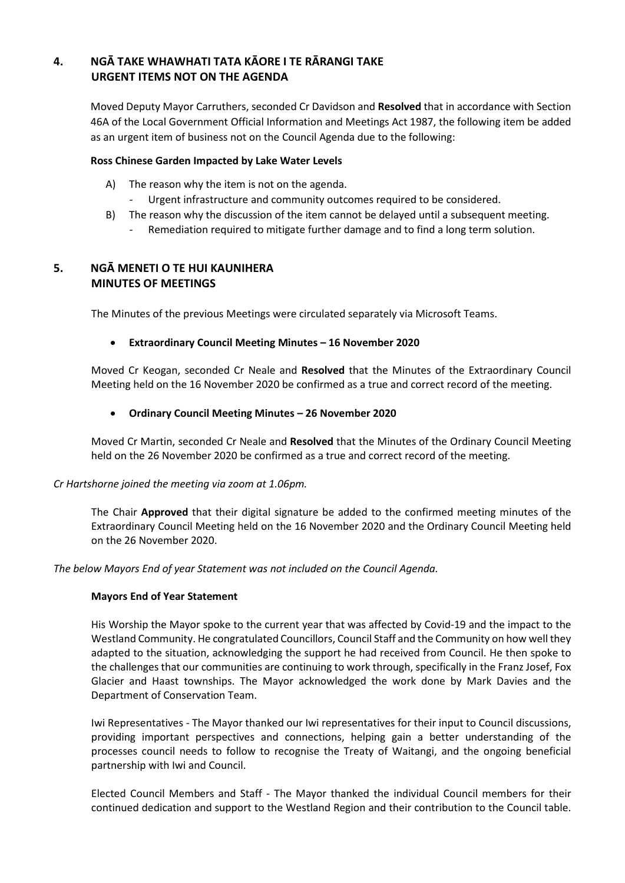## **4. NGĀ TAKE WHAWHATI TATA KĀORE I TE RĀRANGI TAKE URGENT ITEMS NOT ON THE AGENDA**

Moved Deputy Mayor Carruthers, seconded Cr Davidson and **Resolved** that in accordance with Section 46A of the Local Government Official Information and Meetings Act 1987, the following item be added as an urgent item of business not on the Council Agenda due to the following:

## **Ross Chinese Garden Impacted by Lake Water Levels**

- A) The reason why the item is not on the agenda.
	- Urgent infrastructure and community outcomes required to be considered.
- B) The reason why the discussion of the item cannot be delayed until a subsequent meeting.
	- Remediation required to mitigate further damage and to find a long term solution.

## **5. NGĀ MENETI O TE HUI KAUNIHERA MINUTES OF MEETINGS**

The Minutes of the previous Meetings were circulated separately via Microsoft Teams.

## **Extraordinary Council Meeting Minutes – 16 November 2020**

Moved Cr Keogan, seconded Cr Neale and **Resolved** that the Minutes of the Extraordinary Council Meeting held on the 16 November 2020 be confirmed as a true and correct record of the meeting.

## **Ordinary Council Meeting Minutes – 26 November 2020**

Moved Cr Martin, seconded Cr Neale and **Resolved** that the Minutes of the Ordinary Council Meeting held on the 26 November 2020 be confirmed as a true and correct record of the meeting.

## *Cr Hartshorne joined the meeting via zoom at 1.06pm.*

The Chair **Approved** that their digital signature be added to the confirmed meeting minutes of the Extraordinary Council Meeting held on the 16 November 2020 and the Ordinary Council Meeting held on the 26 November 2020.

*The below Mayors End of year Statement was not included on the Council Agenda.* 

## **Mayors End of Year Statement**

His Worship the Mayor spoke to the current year that was affected by Covid-19 and the impact to the Westland Community. He congratulated Councillors, Council Staff and the Community on how well they adapted to the situation, acknowledging the support he had received from Council. He then spoke to the challenges that our communities are continuing to work through, specifically in the Franz Josef, Fox Glacier and Haast townships. The Mayor acknowledged the work done by Mark Davies and the Department of Conservation Team.

Iwi Representatives - The Mayor thanked our Iwi representatives for their input to Council discussions, providing important perspectives and connections, helping gain a better understanding of the processes council needs to follow to recognise the Treaty of Waitangi, and the ongoing beneficial partnership with Iwi and Council.

Elected Council Members and Staff - The Mayor thanked the individual Council members for their continued dedication and support to the Westland Region and their contribution to the Council table.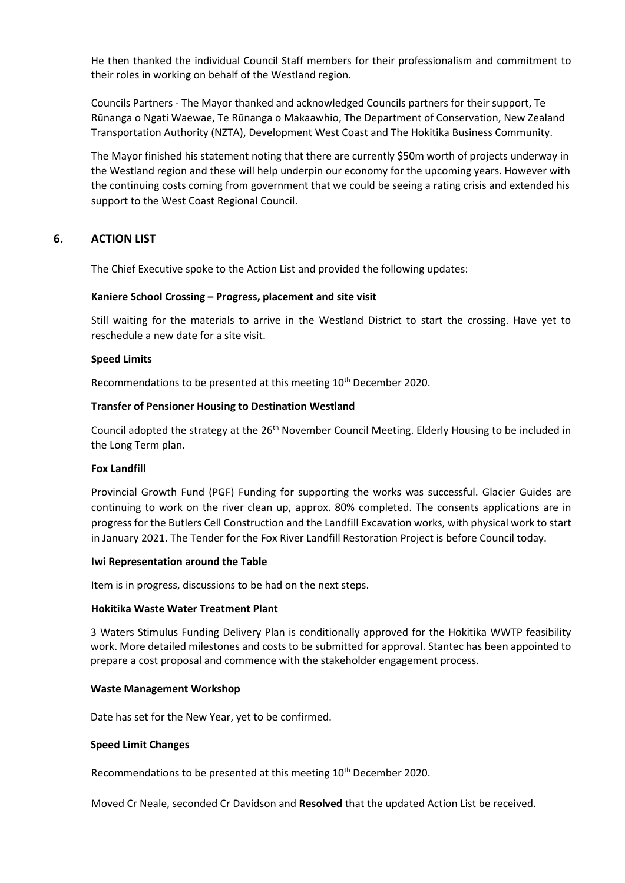He then thanked the individual Council Staff members for their professionalism and commitment to their roles in working on behalf of the Westland region.

Councils Partners - The Mayor thanked and acknowledged Councils partners for their support, Te Rūnanga o Ngati Waewae, Te Rūnanga o Makaawhio, The Department of Conservation, New Zealand Transportation Authority (NZTA), Development West Coast and The Hokitika Business Community.

The Mayor finished his statement noting that there are currently \$50m worth of projects underway in the Westland region and these will help underpin our economy for the upcoming years. However with the continuing costs coming from government that we could be seeing a rating crisis and extended his support to the West Coast Regional Council.

## **6. ACTION LIST**

The Chief Executive spoke to the Action List and provided the following updates:

#### **Kaniere School Crossing – Progress, placement and site visit**

Still waiting for the materials to arrive in the Westland District to start the crossing. Have yet to reschedule a new date for a site visit.

#### **Speed Limits**

Recommendations to be presented at this meeting 10<sup>th</sup> December 2020.

#### **Transfer of Pensioner Housing to Destination Westland**

Council adopted the strategy at the 26<sup>th</sup> November Council Meeting. Elderly Housing to be included in the Long Term plan.

#### **Fox Landfill**

Provincial Growth Fund (PGF) Funding for supporting the works was successful. Glacier Guides are continuing to work on the river clean up, approx. 80% completed. The consents applications are in progress for the Butlers Cell Construction and the Landfill Excavation works, with physical work to start in January 2021. The Tender for the Fox River Landfill Restoration Project is before Council today.

#### **Iwi Representation around the Table**

Item is in progress, discussions to be had on the next steps.

#### **Hokitika Waste Water Treatment Plant**

3 Waters Stimulus Funding Delivery Plan is conditionally approved for the Hokitika WWTP feasibility work. More detailed milestones and costs to be submitted for approval. Stantec has been appointed to prepare a cost proposal and commence with the stakeholder engagement process.

#### **Waste Management Workshop**

Date has set for the New Year, yet to be confirmed.

#### **Speed Limit Changes**

Recommendations to be presented at this meeting 10<sup>th</sup> December 2020.

Moved Cr Neale, seconded Cr Davidson and **Resolved** that the updated Action List be received.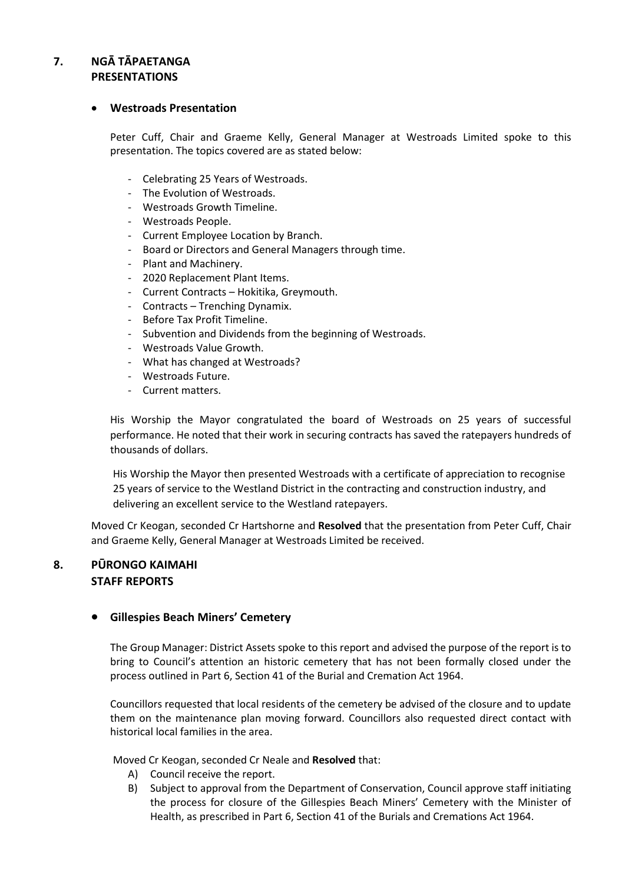## **7. NGĀ TĀPAETANGA PRESENTATIONS**

## **Westroads Presentation**

Peter Cuff, Chair and Graeme Kelly, General Manager at Westroads Limited spoke to this presentation. The topics covered are as stated below:

- Celebrating 25 Years of Westroads.
- The Evolution of Westroads.
- Westroads Growth Timeline.
- Westroads People.
- Current Employee Location by Branch.
- Board or Directors and General Managers through time.
- Plant and Machinery.
- 2020 Replacement Plant Items.
- Current Contracts Hokitika, Greymouth.
- Contracts Trenching Dynamix.
- Before Tax Profit Timeline.
- Subvention and Dividends from the beginning of Westroads.
- Westroads Value Growth.
- What has changed at Westroads?
- Westroads Future.
- Current matters.

His Worship the Mayor congratulated the board of Westroads on 25 years of successful performance. He noted that their work in securing contracts has saved the ratepayers hundreds of thousands of dollars.

His Worship the Mayor then presented Westroads with a certificate of appreciation to recognise 25 years of service to the Westland District in the contracting and construction industry, and delivering an excellent service to the Westland ratepayers.

Moved Cr Keogan, seconded Cr Hartshorne and **Resolved** that the presentation from Peter Cuff, Chair and Graeme Kelly, General Manager at Westroads Limited be received.

## **8. PŪRONGO KAIMAHI STAFF REPORTS**

## **Gillespies Beach Miners' Cemetery**

The Group Manager: District Assets spoke to this report and advised the purpose of the report is to bring to Council's attention an historic cemetery that has not been formally closed under the process outlined in Part 6, Section 41 of the Burial and Cremation Act 1964.

Councillors requested that local residents of the cemetery be advised of the closure and to update them on the maintenance plan moving forward. Councillors also requested direct contact with historical local families in the area.

Moved Cr Keogan, seconded Cr Neale and **Resolved** that:

- A) Council receive the report.
- B) Subject to approval from the Department of Conservation, Council approve staff initiating the process for closure of the Gillespies Beach Miners' Cemetery with the Minister of Health, as prescribed in Part 6, Section 41 of the Burials and Cremations Act 1964.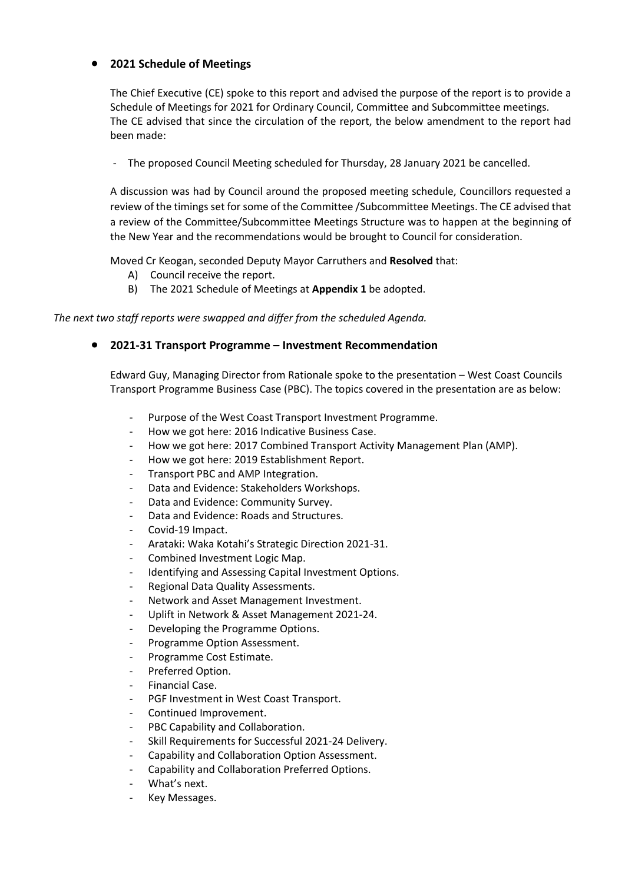## **2021 Schedule of Meetings**

The Chief Executive (CE) spoke to this report and advised the purpose of the report is to provide a Schedule of Meetings for 2021 for Ordinary Council, Committee and Subcommittee meetings. The CE advised that since the circulation of the report, the below amendment to the report had been made:

- The proposed Council Meeting scheduled for Thursday, 28 January 2021 be cancelled.

A discussion was had by Council around the proposed meeting schedule, Councillors requested a review of the timings set for some of the Committee /Subcommittee Meetings. The CE advised that a review of the Committee/Subcommittee Meetings Structure was to happen at the beginning of the New Year and the recommendations would be brought to Council for consideration.

Moved Cr Keogan, seconded Deputy Mayor Carruthers and **Resolved** that:

- A) Council receive the report.
- B) The 2021 Schedule of Meetings at **Appendix 1** be adopted.

*The next two staff reports were swapped and differ from the scheduled Agenda.* 

## **2021-31 Transport Programme – Investment Recommendation**

Edward Guy, Managing Director from Rationale spoke to the presentation – West Coast Councils Transport Programme Business Case (PBC). The topics covered in the presentation are as below:

- Purpose of the West Coast Transport Investment Programme.
- How we got here: 2016 Indicative Business Case.
- How we got here: 2017 Combined Transport Activity Management Plan (AMP).
- How we got here: 2019 Establishment Report.
- Transport PBC and AMP Integration.
- Data and Evidence: Stakeholders Workshops.
- Data and Evidence: Community Survey.
- Data and Evidence: Roads and Structures.
- Covid-19 Impact.
- Arataki: Waka Kotahi's Strategic Direction 2021-31.
- Combined Investment Logic Map.
- Identifying and Assessing Capital Investment Options.
- Regional Data Quality Assessments.
- Network and Asset Management Investment.
- Uplift in Network & Asset Management 2021-24.
- Developing the Programme Options.
- Programme Option Assessment.
- Programme Cost Estimate.
- Preferred Option.
- Financial Case.
- PGF Investment in West Coast Transport.
- Continued Improvement.
- PBC Capability and Collaboration.
- Skill Requirements for Successful 2021-24 Delivery.
- Capability and Collaboration Option Assessment.
- Capability and Collaboration Preferred Options.
- What's next.
- Key Messages.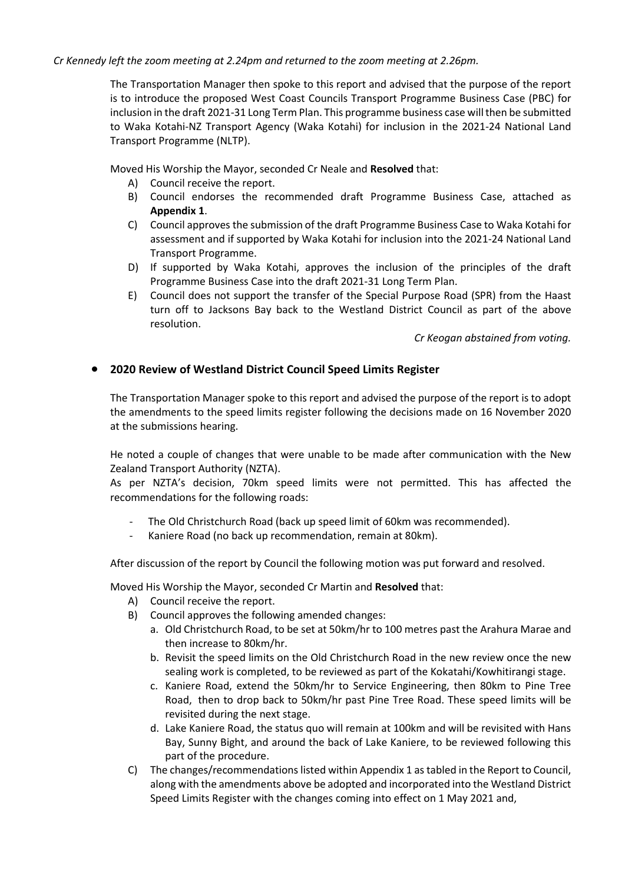*Cr Kennedy left the zoom meeting at 2.24pm and returned to the zoom meeting at 2.26pm.* 

The Transportation Manager then spoke to this report and advised that the purpose of the report is to introduce the proposed West Coast Councils Transport Programme Business Case (PBC) for inclusion in the draft 2021-31 Long Term Plan. This programme business case will then be submitted to Waka Kotahi-NZ Transport Agency (Waka Kotahi) for inclusion in the 2021-24 National Land Transport Programme (NLTP).

Moved His Worship the Mayor, seconded Cr Neale and **Resolved** that:

- A) Council receive the report.
- B) Council endorses the recommended draft Programme Business Case, attached as **Appendix 1**.
- C) Council approves the submission of the draft Programme Business Case to Waka Kotahi for assessment and if supported by Waka Kotahi for inclusion into the 2021-24 National Land Transport Programme.
- D) If supported by Waka Kotahi, approves the inclusion of the principles of the draft Programme Business Case into the draft 2021-31 Long Term Plan.
- E) Council does not support the transfer of the Special Purpose Road (SPR) from the Haast turn off to Jacksons Bay back to the Westland District Council as part of the above resolution.

*Cr Keogan abstained from voting.* 

## **2020 Review of Westland District Council Speed Limits Register**

The Transportation Manager spoke to this report and advised the purpose of the report is to adopt the amendments to the speed limits register following the decisions made on 16 November 2020 at the submissions hearing.

He noted a couple of changes that were unable to be made after communication with the New Zealand Transport Authority (NZTA).

As per NZTA's decision, 70km speed limits were not permitted. This has affected the recommendations for the following roads:

- The Old Christchurch Road (back up speed limit of 60km was recommended).
- Kaniere Road (no back up recommendation, remain at 80km).

After discussion of the report by Council the following motion was put forward and resolved.

Moved His Worship the Mayor, seconded Cr Martin and **Resolved** that:

- A) Council receive the report.
- B) Council approves the following amended changes:
	- a. Old Christchurch Road, to be set at 50km/hr to 100 metres past the Arahura Marae and then increase to 80km/hr.
	- b. Revisit the speed limits on the Old Christchurch Road in the new review once the new sealing work is completed, to be reviewed as part of the Kokatahi/Kowhitirangi stage.
	- c. Kaniere Road, extend the 50km/hr to Service Engineering, then 80km to Pine Tree Road, then to drop back to 50km/hr past Pine Tree Road. These speed limits will be revisited during the next stage.
	- d. Lake Kaniere Road, the status quo will remain at 100km and will be revisited with Hans Bay, Sunny Bight, and around the back of Lake Kaniere, to be reviewed following this part of the procedure.
- C) The changes/recommendations listed within Appendix 1 as tabled in the Report to Council, along with the amendments above be adopted and incorporated into the Westland District Speed Limits Register with the changes coming into effect on 1 May 2021 and,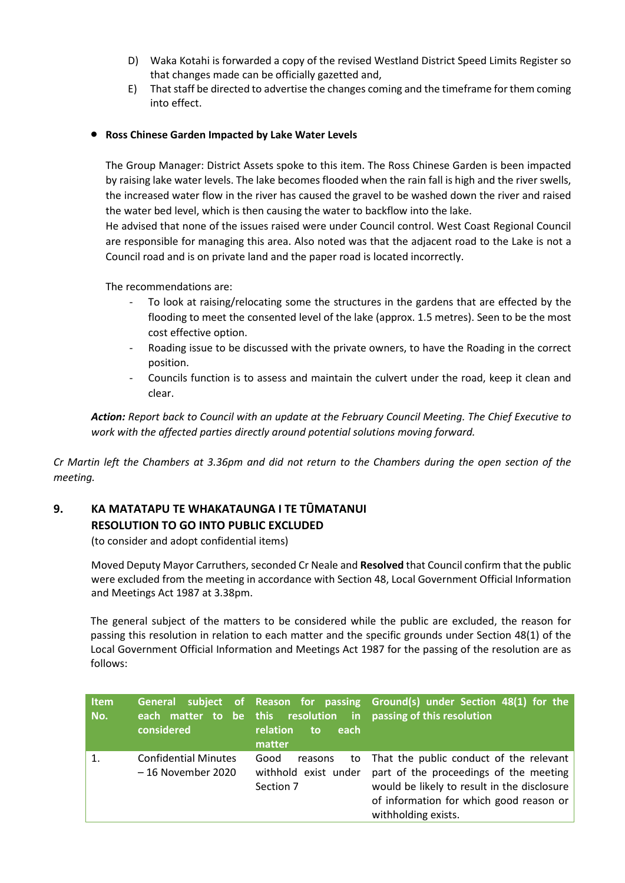- D) Waka Kotahi is forwarded a copy of the revised Westland District Speed Limits Register so that changes made can be officially gazetted and,
- E) That staff be directed to advertise the changes coming and the timeframe for them coming into effect.

## **Ross Chinese Garden Impacted by Lake Water Levels**

The Group Manager: District Assets spoke to this item. The Ross Chinese Garden is been impacted by raising lake water levels. The lake becomes flooded when the rain fall is high and the river swells, the increased water flow in the river has caused the gravel to be washed down the river and raised the water bed level, which is then causing the water to backflow into the lake.

He advised that none of the issues raised were under Council control. West Coast Regional Council are responsible for managing this area. Also noted was that the adjacent road to the Lake is not a Council road and is on private land and the paper road is located incorrectly.

The recommendations are:

- To look at raising/relocating some the structures in the gardens that are effected by the flooding to meet the consented level of the lake (approx. 1.5 metres). Seen to be the most cost effective option.
- Roading issue to be discussed with the private owners, to have the Roading in the correct position.
- Councils function is to assess and maintain the culvert under the road, keep it clean and clear.

*Action: Report back to Council with an update at the February Council Meeting. The Chief Executive to work with the affected parties directly around potential solutions moving forward.* 

*Cr Martin left the Chambers at 3.36pm and did not return to the Chambers during the open section of the meeting.* 

## **9. KA MATATAPU TE WHAKATAUNGA I TE TŪMATANUI RESOLUTION TO GO INTO PUBLIC EXCLUDED**

(to consider and adopt confidential items)

 Moved Deputy Mayor Carruthers, seconded Cr Neale and **Resolved** that Council confirm that the public were excluded from the meeting in accordance with Section 48, Local Government Official Information and Meetings Act 1987 at 3.38pm.

The general subject of the matters to be considered while the public are excluded, the reason for passing this resolution in relation to each matter and the specific grounds under Section 48(1) of the Local Government Official Information and Meetings Act 1987 for the passing of the resolution are as follows:

| <b>Item</b><br>No. | considered                                        | relation<br>each<br>to<br>matter                     | General subject of Reason for passing Ground(s) under Section 48(1) for the<br>each matter to be this resolution in passing of this resolution                                                        |
|--------------------|---------------------------------------------------|------------------------------------------------------|-------------------------------------------------------------------------------------------------------------------------------------------------------------------------------------------------------|
| $\mathbf{1}$       | <b>Confidential Minutes</b><br>- 16 November 2020 | Good<br>reasons<br>withhold exist under<br>Section 7 | to That the public conduct of the relevant<br>part of the proceedings of the meeting<br>would be likely to result in the disclosure<br>of information for which good reason or<br>withholding exists. |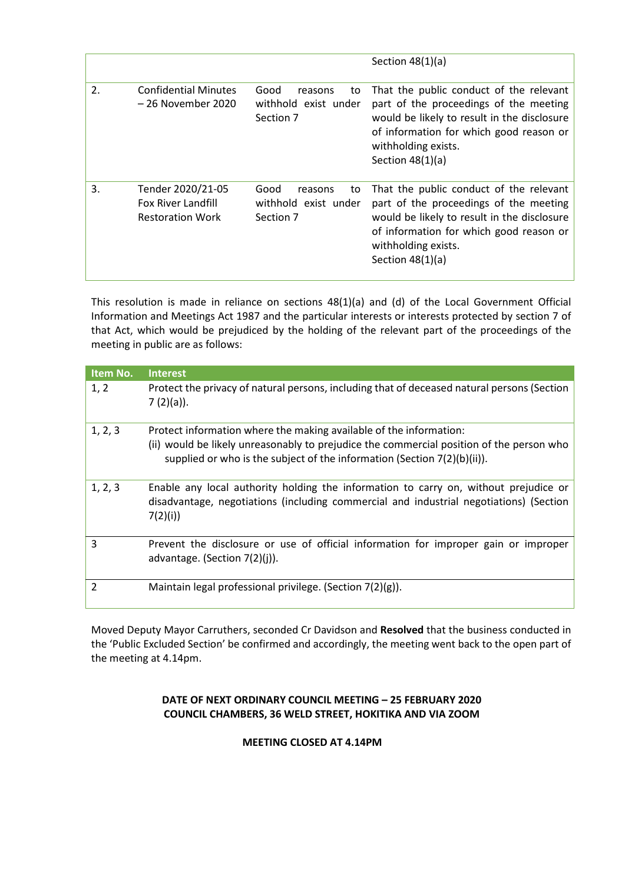|                  |                                                                    |                                                            | Section $48(1)(a)$                                                                                                                                                                                                       |
|------------------|--------------------------------------------------------------------|------------------------------------------------------------|--------------------------------------------------------------------------------------------------------------------------------------------------------------------------------------------------------------------------|
| $\mathfrak{D}$ . | <b>Confidential Minutes</b><br>– 26 November 2020                  | Good<br>reasons<br>to<br>withhold exist under<br>Section 7 | That the public conduct of the relevant<br>part of the proceedings of the meeting<br>would be likely to result in the disclosure<br>of information for which good reason or<br>withholding exists.<br>Section $48(1)(a)$ |
| 3.               | Tender 2020/21-05<br>Fox River Landfill<br><b>Restoration Work</b> | Good<br>to<br>reasons<br>withhold exist under<br>Section 7 | That the public conduct of the relevant<br>part of the proceedings of the meeting<br>would be likely to result in the disclosure<br>of information for which good reason or<br>withholding exists.<br>Section $48(1)(a)$ |

This resolution is made in reliance on sections 48(1)(a) and (d) of the Local Government Official Information and Meetings Act 1987 and the particular interests or interests protected by section 7 of that Act, which would be prejudiced by the holding of the relevant part of the proceedings of the meeting in public are as follows:

| Item No.       | <b>Interest</b>                                                                                                                                                                                                                               |
|----------------|-----------------------------------------------------------------------------------------------------------------------------------------------------------------------------------------------------------------------------------------------|
| 1, 2           | Protect the privacy of natural persons, including that of deceased natural persons (Section<br>$7(2)(a)$ ).                                                                                                                                   |
| 1, 2, 3        | Protect information where the making available of the information:<br>(ii) would be likely unreasonably to prejudice the commercial position of the person who<br>supplied or who is the subject of the information (Section $7(2)(b)(ii)$ ). |
| 1, 2, 3        | Enable any local authority holding the information to carry on, without prejudice or<br>disadvantage, negotiations (including commercial and industrial negotiations) (Section<br>7(2)(i)                                                     |
| 3              | Prevent the disclosure or use of official information for improper gain or improper<br>advantage. (Section $7(2)(i)$ ).                                                                                                                       |
| $\overline{2}$ | Maintain legal professional privilege. (Section $7(2)(g)$ ).                                                                                                                                                                                  |

Moved Deputy Mayor Carruthers, seconded Cr Davidson and **Resolved** that the business conducted in the 'Public Excluded Section' be confirmed and accordingly, the meeting went back to the open part of the meeting at 4.14pm.

## **DATE OF NEXT ORDINARY COUNCIL MEETING – 25 FEBRUARY 2020 COUNCIL CHAMBERS, 36 WELD STREET, HOKITIKA AND VIA ZOOM**

## **MEETING CLOSED AT 4.14PM**